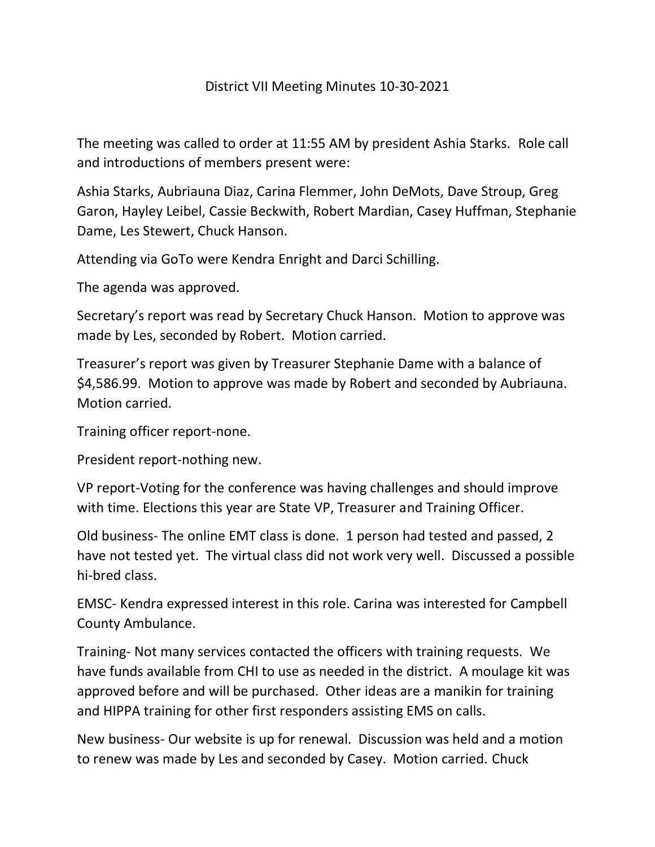## District VII Meeting Minutes 10-30-2021

The meeting was called to order at 11:55 AM by president Ashia Starks. Role call and introductions of members present were:

Ashia Starks, Aubriauna Diaz, Carina Flemmer, John DeMots, Dave Stroup, Greg Garon, Hayley Leibel, Cassie Beckwith, Robert Mardian, Casey Huffman, Stephanie Dame, Les Stewert, Chuck Hanson.

Attending via GoTo were Kendra Enright and Darci Schilling.

The agenda was approved.

Secretary's report was read by Secretary Chuck Hanson. Motion to approve was made by Les, seconded by Robert. Motion carried.

Treasurer's report was given by Treasurer Stephanie Dame with a balance of \$4,586.99. Motion to approve was made by Robert and seconded by Aubriauna. Motion carried.

Training officer report-none.

President report-nothing new.

VP report-Voting for the conference was having challenges and should improve with time. Elections this year are State VP, Treasurer and Training Officer.

Old business- The online EMT class is done. 1 person had tested and passed, 2 have not tested yet. The virtual class did not work very well. Discussed a possible hi-bred class.

EMSC- Kendra expressed interest in this role. Carina was interested for Campbell County Ambulance.

Training- Not many services contacted the officers with training requests. We have funds available from CHI to use as needed in the district. A moulage kit was approved before and will be purchased. Other ideas are a manikin for training and HIPPA training for other first responders assisting EMS on calls.

New business- Our website is up for renewal. Discussion was held and a motion to renew was made by Les and seconded by Casey. Motion carried. Chuck